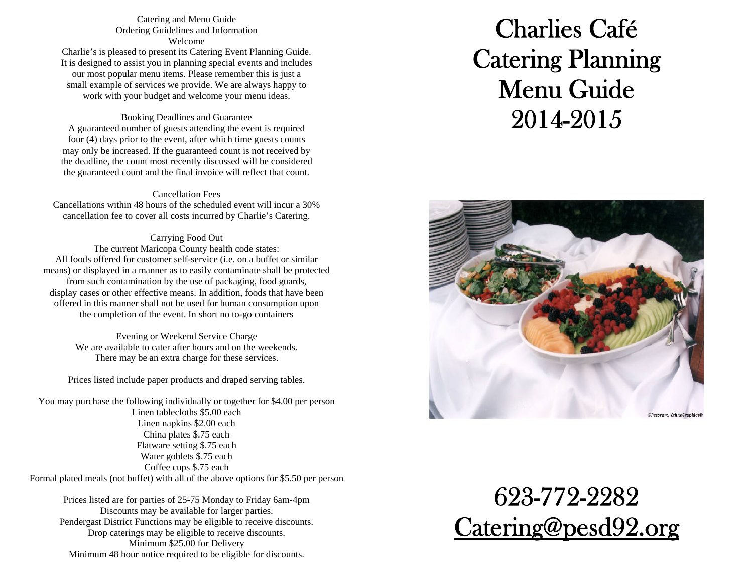#### Catering and Menu Guide Ordering Guidelines and Information Welcome

Charlie's is pleased to present its Catering Event Planning Guide. It is designed to assist you in planning special events and includes our most popular menu items. Please remember this is just a small example of services we provide. We are always happy to work with your budget and welcome your menu ideas.

#### Booking Deadlines and Guarantee

A guaranteed number of guests attending the event is required four (4) days prior to the event, after which time guests counts may only be increased. If the guaranteed count is not received by the deadline, the count most recently discussed will be considered the guaranteed count and the final invoice will reflect that count.

#### Cancellation Fees

Cancellations within 48 hours of the scheduled event will incur a 30% cancellation fee to cover all costs incurred by Charlie's Catering.

#### Carrying Food Out

The current Maricopa County health code states: All foods offered for customer self-service (i.e. on a buffet or similar means) or displayed in a manner as to easily contaminate shall be protected from such contamination by the use of packaging, food guards, display cases or other effective means. In addition, foods that have been offered in this manner shall not be used for human consumption upon the completion of the event. In short no to-go containers

> Evening or Weekend Service Charge We are available to cater after hours and on the weekends. There may be an extra charge for these services.

Prices listed include paper products and draped serving tables.

You may purchase the following individually or together for \$4.00 per person Linen tablecloths \$5.00 each Linen napkins \$2.00 each China plates \$.75 each Flatware setting \$.75 each Water goblets \$.75 each Coffee cups \$.75 each Formal plated meals (not buffet) with all of the above options for \$5.50 per person

Prices listed are for parties of 25-75 Monday to Friday 6am-4pm Discounts may be available for larger parties. Pendergast District Functions may be eligible to receive discounts. Drop caterings may be eligible to receive discounts. Minimum \$25.00 for Delivery Minimum 48 hour notice required to be eligible for discounts.

# Charlies Café Catering Planning Menu Guide 2014-2015



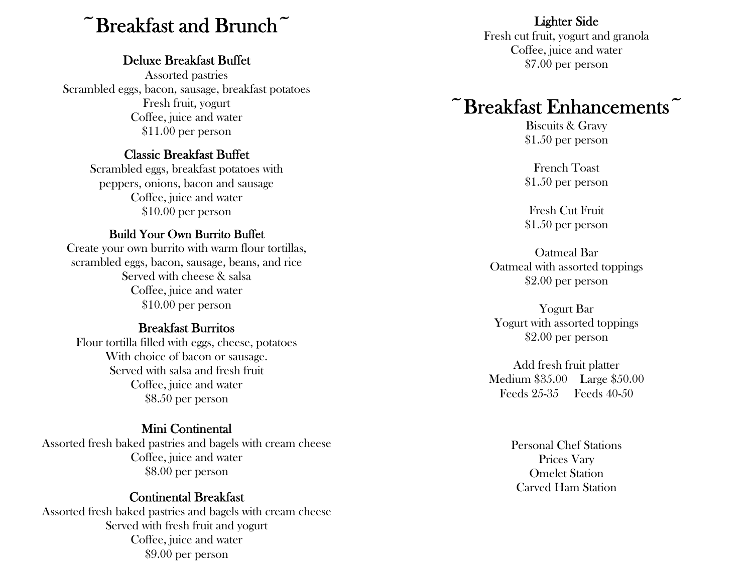## $\tilde{\phantom{a}}$  Breakfast and Brunch  $\tilde{\phantom{a}}$

#### Deluxe Breakfast Buffet

Assorted pastries Scrambled eggs, bacon, sausage, breakfast potatoes Fresh fruit, yogurt Coffee, juice and water \$11.00 per person

#### Classic Breakfast Buffet

Scrambled eggs, breakfast potatoes with peppers, onions, bacon and sausage Coffee, juice and water \$10.00 per person

#### Build Your Own Burrito Buffet

Create your own burrito with warm flour tortillas, scrambled eggs, bacon, sausage, beans, and rice Served with cheese & salsa Coffee, juice and water \$10.00 per person

#### Breakfast Burritos

Flour tortilla filled with eggs, cheese, potatoes With choice of bacon or sausage. Served with salsa and fresh fruit Coffee, juice and water \$8.50 per person

#### Mini Continental

Assorted fresh baked pastries and bagels with cream cheese Coffee, juice and water \$8.00 per person

#### Continental Breakfast

Assorted fresh baked pastries and bagels with cream cheese Served with fresh fruit and yogurt Coffee, juice and water \$9.00 per person

#### Lighter Side

Fresh cut fruit, yogurt and granola Coffee, juice and water \$7.00 per person

## $\tilde{\phantom{a}}$ Breakfast Enhancements $\tilde{\phantom{a}}$

Biscuits & Gravy \$1.50 per person

French Toast \$1.50 per person

Fresh Cut Fruit \$1.50 per person

Oatmeal Bar Oatmeal with assorted toppings \$2.00 per person

Yogurt Bar Yogurt with assorted toppings \$2.00 per person

Add fresh fruit platter Medium \$35.00 Large \$50.00 Feeds 25-35 Feeds 40-50

> Personal Chef Stations Prices Vary Omelet Station Carved Ham Station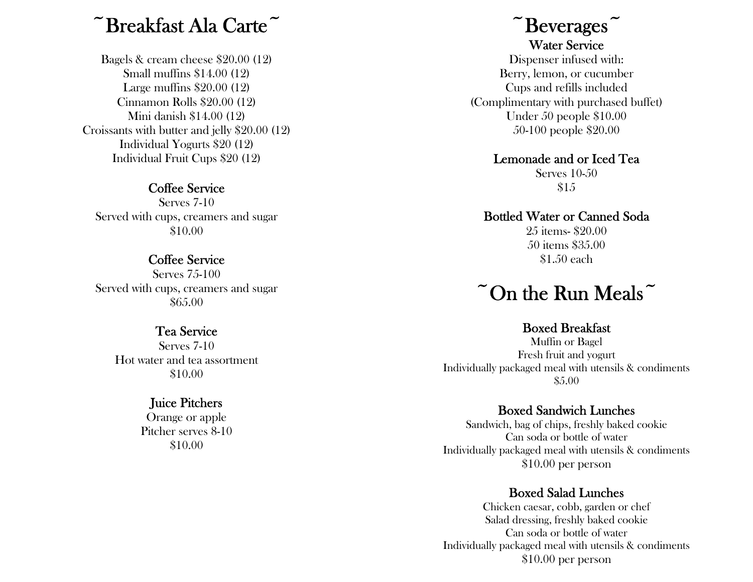## $\tilde{\phantom{a}}$ Breakfast Ala Carte $\tilde{\phantom{a}}$

Bagels & cream cheese \$20.00 (12) Small muffins \$14.00 (12) Large muffins \$20.00 (12) Cinnamon Rolls \$20.00 (12) Mini danish \$14.00 (12) Croissants with butter and jelly \$20.00 (12) Individual Yogurts \$20 (12) Individual Fruit Cups \$20 (12)

#### Coffee Service

Serves 7-10 Served with cups, creamers and sugar \$10.00

#### Coffee Service

Serves 75-100 Served with cups, creamers and sugar \$65.00

#### Tea Service

Serves 7-10 Hot water and tea assortment \$10.00

### Juice Pitchers

Orange or apple Pitcher serves 8-10 \$10.00

### $\tilde{\phantom{a}}$ Beverages $\tilde{\phantom{a}}$ Water Service

Dispenser infused with: Berry, lemon, or cucumber Cups and refills included (Complimentary with purchased buffet) Under 50 people \$10.00 50-100 people \$20.00

#### Lemonade and or Iced Tea

Serves 10-50 \$15

#### Bottled Water or Canned Soda

25 items- \$20.00 50 items \$35.00 \$1.50 each

## $\tilde{\phantom{a}}$  On the Run Meals  $\tilde{\phantom{a}}$

#### Boxed Breakfast

Muffin or Bagel Fresh fruit and yogurt Individually packaged meal with utensils & condiments \$5.00

### Boxed Sandwich Lunches

Sandwich, bag of chips, freshly baked cookie Can soda or bottle of water Individually packaged meal with utensils & condiments \$10.00 per person

### Boxed Salad Lunches

Chicken caesar, cobb, garden or chef Salad dressing, freshly baked cookie Can soda or bottle of water Individually packaged meal with utensils & condiments \$10.00 per person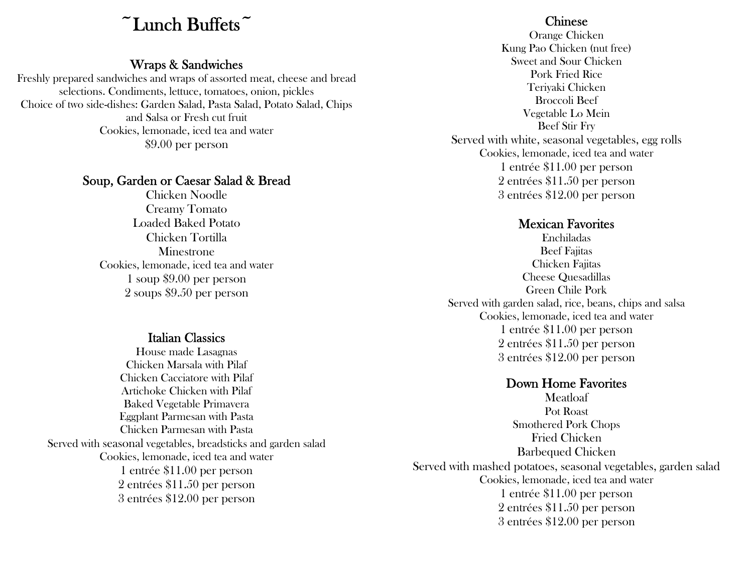### $\tilde{\phantom{a}}$  Lunch Buffets $\tilde{\phantom{a}}$

#### Wraps & Sandwiches

Freshly prepared sandwiches and wraps of assorted meat, cheese and bread selections. Condiments, lettuce, tomatoes, onion, pickles Choice of two side-dishes: Garden Salad, Pasta Salad, Potato Salad, Chips and Salsa or Fresh cut fruit Cookies, lemonade, iced tea and water \$9.00 per person

#### Soup, Garden or Caesar Salad & Bread

Chicken Noodle Creamy Tomato Loaded Baked Potato Chicken Tortilla **Minestrone** Cookies, lemonade, iced tea and water 1 soup \$9.00 per person 2 soups \$9.50 per person

#### Italian Classics

House made Lasagnas Chicken Marsala with Pilaf Chicken Cacciatore with Pilaf Artichoke Chicken with Pilaf Baked Vegetable Primavera Eggplant Parmesan with Pasta Chicken Parmesan with Pasta Served with seasonal vegetables, breadsticks and garden salad Cookies, lemonade, iced tea and water 1 entrée \$11.00 per person 2 entrées \$11.50 per person 3 entrées \$12.00 per person

#### Chinese

Orange Chicken Kung Pao Chicken (nut free) Sweet and Sour Chicken Pork Fried Rice Teriyaki Chicken Broccoli Beef Vegetable Lo Mein Beef Stir Fry Served with white, seasonal vegetables, egg rolls Cookies, lemonade, iced tea and water 1 entrée \$11.00 per person 2 entrées \$11.50 per person 3 entrées \$12.00 per person

#### Mexican Favorites

Enchiladas Beef Fajitas Chicken Fajitas Cheese Quesadillas Green Chile Pork Served with garden salad, rice, beans, chips and salsa Cookies, lemonade, iced tea and water 1 entrée \$11.00 per person 2 entrées \$11.50 per person 3 entrées \$12.00 per person

### Down Home Favorites

Meatloaf Pot Roast Smothered Pork Chops Fried Chicken Barbequed Chicken Served with mashed potatoes, seasonal vegetables, garden salad Cookies, lemonade, iced tea and water 1 entrée \$11.00 per person 2 entrées \$11.50 per person 3 entrées \$12.00 per person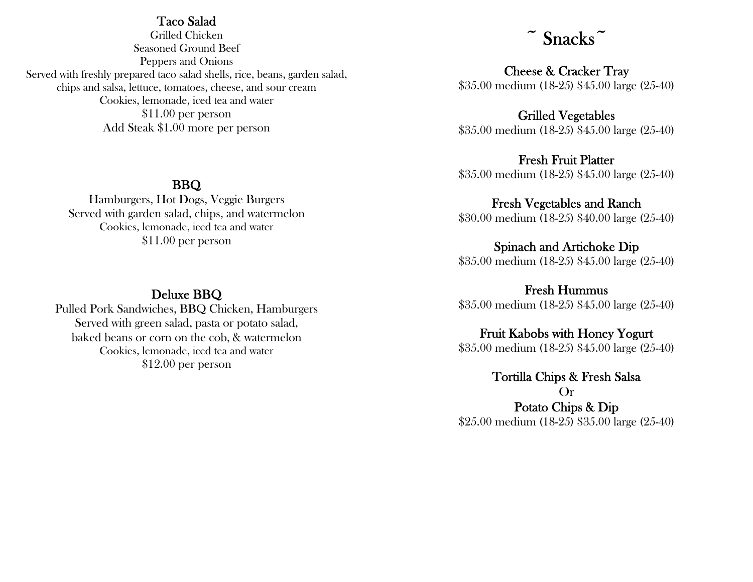#### Taco Salad

Grilled Chicken Seasoned Ground Beef Peppers and Onions Served with freshly prepared taco salad shells, rice, beans, garden salad, chips and salsa, lettuce, tomatoes, cheese, and sour cream Cookies, lemonade, iced tea and water \$11.00 per person Add Steak \$1.00 more per person

#### BBQ

Hamburgers, Hot Dogs, Veggie Burgers Served with garden salad, chips, and watermelon Cookies, lemonade, iced tea and water \$11.00 per person

### Deluxe BBQ

Pulled Pork Sandwiches, BBQ Chicken, Hamburgers Served with green salad, pasta or potato salad, baked beans or corn on the cob, & watermelon Cookies, lemonade, iced tea and water \$12.00 per person

### ~ Snacks~

Cheese & Cracker Tray \$35.00 medium (18-25) \$45.00 large (25-40)

#### Grilled Vegetables

\$35.00 medium (18-25) \$45.00 large (25-40)

#### Fresh Fruit Platter

\$35.00 medium (18-25) \$45.00 large (25-40)

#### Fresh Vegetables and Ranch

\$30.00 medium (18-25) \$40.00 large (25-40)

#### Spinach and Artichoke Dip

\$35.00 medium (18-25) \$45.00 large (25-40)

Fresh Hummus \$35.00 medium (18-25) \$45.00 large (25-40)

### Fruit Kabobs with Honey Yogurt

\$35.00 medium (18-25) \$45.00 large (25-40)

Tortilla Chips & Fresh Salsa Or Potato Chips & Dip \$25.00 medium (18-25) \$35.00 large (25-40)